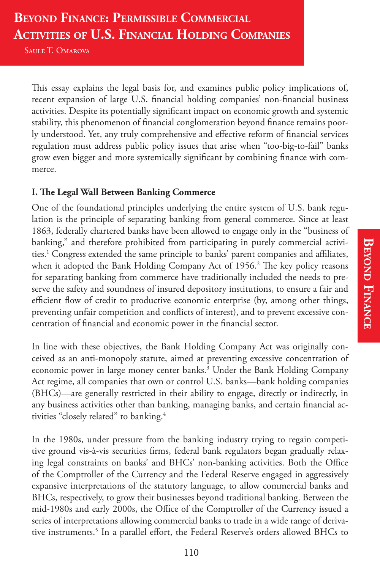# **BEYOND FINANCE: PERMISSIBLE COMMERCIAL ACTIVITIES OF U.S. FINANCIAL HOLDING COMPANIES**

Saule T. Omarova

This essay explains the legal basis for, and examines public policy implications of, recent expansion of large U.S. financial holding companies' non-financial business activities. Despite its potentially significant impact on economic growth and systemic stability, this phenomenon of financial conglomeration beyond finance remains poorly understood. Yet, any truly comprehensive and effective reform of financial services regulation must address public policy issues that arise when "too-big-to-fail" banks grow even bigger and more systemically significant by combining finance with commerce.

#### **I. !e Legal Wall Between Banking Commerce**

One of the foundational principles underlying the entire system of U.S. bank regulation is the principle of separating banking from general commerce. Since at least 1863, federally chartered banks have been allowed to engage only in the "business of banking," and therefore prohibited from participating in purely commercial activities.<sup>1</sup> Congress extended the same principle to banks' parent companies and affiliates, when it adopted the Bank Holding Company Act of  $1956<sup>2</sup>$ . The key policy reasons for separating banking from commerce have traditionally included the needs to preserve the safety and soundness of insured depository institutions, to ensure a fair and efficient flow of credit to productive economic enterprise (by, among other things, preventing unfair competition and conflicts of interest), and to prevent excessive concentration of financial and economic power in the financial sector.

In line with these objectives, the Bank Holding Company Act was originally conceived as an anti-monopoly statute, aimed at preventing excessive concentration of economic power in large money center banks.3 Under the Bank Holding Company Act regime, all companies that own or control U.S. banks—bank holding companies (BHCs)—are generally restricted in their ability to engage, directly or indirectly, in any business activities other than banking, managing banks, and certain financial activities "closely related" to banking.<sup>4</sup>

In the 1980s, under pressure from the banking industry trying to regain competitive ground vis-à-vis securities firms, federal bank regulators began gradually relaxing legal constraints on banks' and BHCs' non-banking activities. Both the Office of the Comptroller of the Currency and the Federal Reserve engaged in aggressively expansive interpretations of the statutory language, to allow commercial banks and BHCs, respectively, to grow their businesses beyond traditional banking. Between the mid-1980s and early 2000s, the Office of the Comptroller of the Currency issued a series of interpretations allowing commercial banks to trade in a wide range of derivative instruments.<sup>5</sup> In a parallel effort, the Federal Reserve's orders allowed BHCs to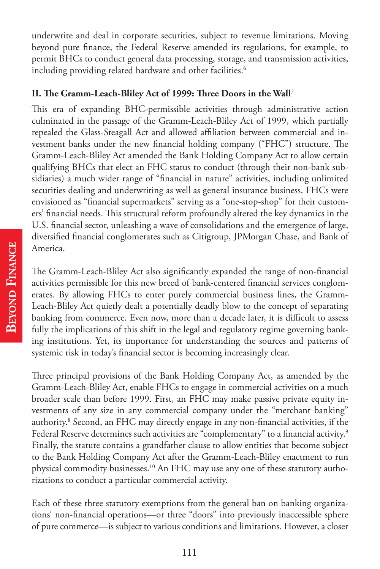underwrite and deal in corporate securities, subject to revenue limitations. Moving beyond pure finance, the Federal Reserve amended its regulations, for example, to permit BHCs to conduct general data processing, storage, and transmission activities, including providing related hardware and other facilities.<sup>6</sup>

#### **II. !e Gramm-Leach-Bliley Act of 1999: !ree Doors in the Wall**<sup>7</sup>

This era of expanding BHC-permissible activities through administrative action culminated in the passage of the Gramm-Leach-Bliley Act of 1999, which partially repealed the Glass-Steagall Act and allowed affiliation between commercial and investment banks under the new financial holding company ("FHC") structure. The Gramm-Leach-Bliley Act amended the Bank Holding Company Act to allow certain qualifying BHCs that elect an FHC status to conduct (through their non-bank subsidiaries) a much wider range of "financial in nature" activities, including unlimited securities dealing and underwriting as well as general insurance business. FHCs were envisioned as "financial supermarkets" serving as a "one-stop-shop" for their customers' financial needs. This structural reform profoundly altered the key dynamics in the U.S. financial sector, unleashing a wave of consolidations and the emergence of large, diversified financial conglomerates such as Citigroup, JPMorgan Chase, and Bank of America.

The Gramm-Leach-Bliley Act also significantly expanded the range of non-financial activities permissible for this new breed of bank-centered financial services conglomerates. By allowing FHCs to enter purely commercial business lines, the Gramm-Leach-Bliley Act quietly dealt a potentially deadly blow to the concept of separating banking from commerce. Even now, more than a decade later, it is difficult to assess fully the implications of this shift in the legal and regulatory regime governing banking institutions. Yet, its importance for understanding the sources and patterns of systemic risk in today's financial sector is becoming increasingly clear.

Three principal provisions of the Bank Holding Company Act, as amended by the Gramm-Leach-Bliley Act, enable FHCs to engage in commercial activities on a much broader scale than before 1999. First, an FHC may make passive private equity investments of any size in any commercial company under the "merchant banking" authority.<sup>8</sup> Second, an FHC may directly engage in any non-financial activities, if the Federal Reserve determines such activities are "complementary" to a financial activity.<sup>9</sup> Finally, the statute contains a grandfather clause to allow entities that become subject to the Bank Holding Company Act after the Gramm-Leach-Bliley enactment to run physical commodity businesses.10 An FHC may use any one of these statutory authorizations to conduct a particular commercial activity.

Each of these three statutory exemptions from the general ban on banking organizations' non-financial operations—or three "doors" into previously inaccessible sphere of pure commerce—is subject to various conditions and limitations. However, a closer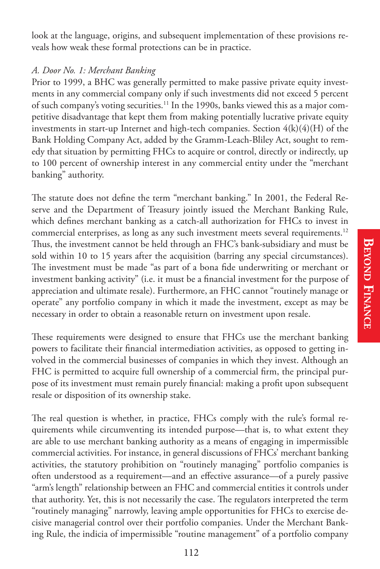look at the language, origins, and subsequent implementation of these provisions reveals how weak these formal protections can be in practice.

#### *A. Door No. 1: Merchant Banking*

Prior to 1999, a BHC was generally permitted to make passive private equity investments in any commercial company only if such investments did not exceed 5 percent of such company's voting securities.11 In the 1990s, banks viewed this as a major competitive disadvantage that kept them from making potentially lucrative private equity investments in start-up Internet and high-tech companies. Section  $4(k)(4)(H)$  of the Bank Holding Company Act, added by the Gramm-Leach-Bliley Act, sought to remedy that situation by permitting FHCs to acquire or control, directly or indirectly, up to 100 percent of ownership interest in any commercial entity under the "merchant banking" authority.

The statute does not define the term "merchant banking." In 2001, the Federal Reserve and the Department of Treasury jointly issued the Merchant Banking Rule, which defines merchant banking as a catch-all authorization for FHCs to invest in commercial enterprises, as long as any such investment meets several requirements.<sup>12</sup> Thus, the investment cannot be held through an FHC's bank-subsidiary and must be sold within 10 to 15 years after the acquisition (barring any special circumstances). The investment must be made "as part of a bona fide underwriting or merchant or investment banking activity" (i.e. it must be a financial investment for the purpose of appreciation and ultimate resale). Furthermore, an FHC cannot "routinely manage or operate" any portfolio company in which it made the investment, except as may be necessary in order to obtain a reasonable return on investment upon resale.

These requirements were designed to ensure that FHCs use the merchant banking powers to facilitate their financial intermediation activities, as opposed to getting involved in the commercial businesses of companies in which they invest. Although an FHC is permitted to acquire full ownership of a commercial firm, the principal purpose of its investment must remain purely financial: making a profit upon subsequent resale or disposition of its ownership stake.

The real question is whether, in practice, FHCs comply with the rule's formal requirements while circumventing its intended purpose—that is, to what extent they are able to use merchant banking authority as a means of engaging in impermissible commercial activities. For instance, in general discussions of FHCs' merchant banking activities, the statutory prohibition on "routinely managing" portfolio companies is often understood as a requirement—and an effective assurance—of a purely passive "arm's length" relationship between an FHC and commercial entities it controls under that authority. Yet, this is not necessarily the case. The regulators interpreted the term "routinely managing" narrowly, leaving ample opportunities for FHCs to exercise decisive managerial control over their portfolio companies. Under the Merchant Banking Rule, the indicia of impermissible "routine management" of a portfolio company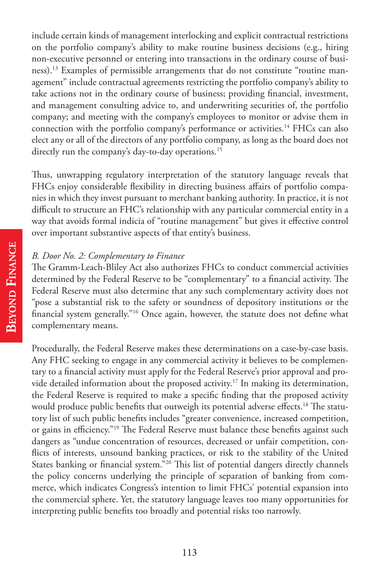include certain kinds of management interlocking and explicit contractual restrictions on the portfolio company's ability to make routine business decisions (e.g., hiring non-executive personnel or entering into transactions in the ordinary course of business).13 Examples of permissible arrangements that do not constitute "routine management" include contractual agreements restricting the portfolio company's ability to take actions not in the ordinary course of business; providing financial, investment, and management consulting advice to, and underwriting securities of, the portfolio company; and meeting with the company's employees to monitor or advise them in connection with the portfolio company's performance or activities.<sup>14</sup> FHCs can also elect any or all of the directors of any portfolio company, as long as the board does not directly run the company's day-to-day operations.<sup>15</sup>

Thus, unwrapping regulatory interpretation of the statutory language reveals that FHCs enjoy considerable flexibility in directing business affairs of portfolio companies in which they invest pursuant to merchant banking authority. In practice, it is not difficult to structure an FHC's relationship with any particular commercial entity in a way that avoids formal indicia of "routine management" but gives it effective control over important substantive aspects of that entity's business.

#### *B. Door No. 2: Complementary to Finance*

The Gramm-Leach-Bliley Act also authorizes FHCs to conduct commercial activities determined by the Federal Reserve to be "complementary" to a financial activity. The Federal Reserve must also determine that any such complementary activity does not "pose a substantial risk to the safety or soundness of depository institutions or the financial system generally."<sup>16</sup> Once again, however, the statute does not define what complementary means.

Procedurally, the Federal Reserve makes these determinations on a case-by-case basis. Any FHC seeking to engage in any commercial activity it believes to be complementary to a financial activity must apply for the Federal Reserve's prior approval and provide detailed information about the proposed activity.<sup>17</sup> In making its determination, the Federal Reserve is required to make a specific finding that the proposed activity would produce public benefits that outweigh its potential adverse effects.<sup>18</sup> The statutory list of such public benefits includes "greater convenience, increased competition, or gains in efficiency."<sup>19</sup> The Federal Reserve must balance these benefits against such dangers as "undue concentration of resources, decreased or unfair competition, con flicts of interests, unsound banking practices, or risk to the stability of the United States banking or financial system."<sup>20</sup> This list of potential dangers directly channels the policy concerns underlying the principle of separation of banking from commerce, which indicates Congress's intention to limit FHCs' potential expansion into the commercial sphere. Yet, the statutory language leaves too many opportunities for interpreting public benefits too broadly and potential risks too narrowly.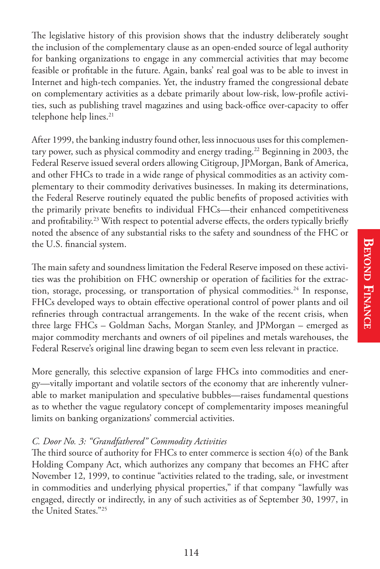The legislative history of this provision shows that the industry deliberately sought the inclusion of the complementary clause as an open-ended source of legal authority for banking organizations to engage in any commercial activities that may become feasible or profitable in the future. Again, banks' real goal was to be able to invest in Internet and high-tech companies. Yet, the industry framed the congressional debate on complementary activities as a debate primarily about low-risk, low-profile activities, such as publishing travel magazines and using back-office over-capacity to offer telephone help lines.<sup>21</sup>

After 1999, the banking industry found other, less innocuous uses for this complementary power, such as physical commodity and energy trading.<sup>22</sup> Beginning in 2003, the Federal Reserve issued several orders allowing Citigroup, JPMorgan, Bank of America, and other FHCs to trade in a wide range of physical commodities as an activity complementary to their commodity derivatives businesses. In making its determinations, the Federal Reserve routinely equated the public benefits of proposed activities with the primarily private benefits to individual FHCs—their enhanced competitiveness and profitability.<sup>23</sup> With respect to potential adverse effects, the orders typically briefly noted the absence of any substantial risks to the safety and soundness of the FHC or the U.S. financial system.

The main safety and soundness limitation the Federal Reserve imposed on these activities was the prohibition on FHC ownership or operation of facilities for the extraction, storage, processing, or transportation of physical commodities.24 In response, FHCs developed ways to obtain effective operational control of power plants and oil refineries through contractual arrangements. In the wake of the recent crisis, when three large FHCs – Goldman Sachs, Morgan Stanley, and JPMorgan – emerged as major commodity merchants and owners of oil pipelines and metals warehouses, the Federal Reserve's original line drawing began to seem even less relevant in practice.

More generally, this selective expansion of large FHCs into commodities and energy—vitally important and volatile sectors of the economy that are inherently vulnerable to market manipulation and speculative bubbles—raises fundamental questions as to whether the vague regulatory concept of complementarity imposes meaningful limits on banking organizations' commercial activities.

#### *C. Door No. 3: "Grandfathered" Commodity Activities*

The third source of authority for FHCs to enter commerce is section  $4$ (o) of the Bank Holding Company Act, which authorizes any company that becomes an FHC after November 12, 1999, to continue "activities related to the trading, sale, or investment in commodities and underlying physical properties," if that company "lawfully was engaged, directly or indirectly, in any of such activities as of September 30, 1997, in the United States."25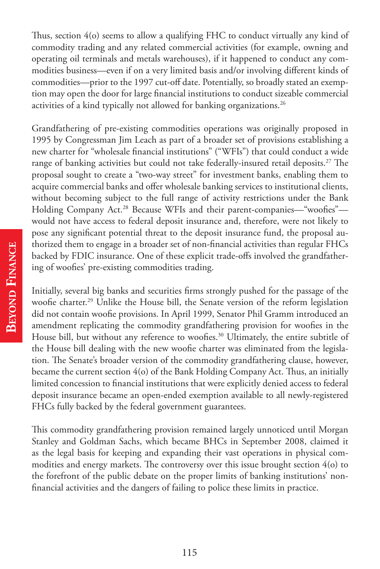Thus, section  $4$ (o) seems to allow a qualifying FHC to conduct virtually any kind of commodity trading and any related commercial activities (for example, owning and operating oil terminals and metals warehouses), if it happened to conduct any commodities business—even if on a very limited basis and/or involving different kinds of commodities—prior to the 1997 cut-off date. Potentially, so broadly stated an exemption may open the door for large financial institutions to conduct sizeable commercial activities of a kind typically not allowed for banking organizations.<sup>26</sup>

Grandfathering of pre-existing commodities operations was originally proposed in 1995 by Congressman Jim Leach as part of a broader set of provisions establishing a new charter for "wholesale financial institutions" ("WFIs") that could conduct a wide range of banking activities but could not take federally-insured retail deposits.<sup>27</sup> The proposal sought to create a "two-way street" for investment banks, enabling them to acquire commercial banks and offer wholesale banking services to institutional clients, without becoming subject to the full range of activity restrictions under the Bank Holding Company Act.<sup>28</sup> Because WFIs and their parent-companies—"woofies" would not have access to federal deposit insurance and, therefore, were not likely to pose any significant potential threat to the deposit insurance fund, the proposal authorized them to engage in a broader set of non-financial activities than regular FHCs backed by FDIC insurance. One of these explicit trade-offs involved the grandfathering of woofies' pre-existing commodities trading.

Initially, several big banks and securities firms strongly pushed for the passage of the woofie charter.<sup>29</sup> Unlike the House bill, the Senate version of the reform legislation did not contain woofie provisions. In April 1999, Senator Phil Gramm introduced an amendment replicating the commodity grandfathering provision for woofies in the House bill, but without any reference to woofies.<sup>30</sup> Ultimately, the entire subtitle of the House bill dealing with the new woofie charter was eliminated from the legislation. The Senate's broader version of the commodity grandfathering clause, however, became the current section  $4\alpha$  of the Bank Holding Company Act. Thus, an initially limited concession to financial institutions that were explicitly denied access to federal deposit insurance became an open-ended exemption available to all newly-registered FHCs fully backed by the federal government guarantees.

This commodity grandfathering provision remained largely unnoticed until Morgan Stanley and Goldman Sachs, which became BHCs in September 2008, claimed it as the legal basis for keeping and expanding their vast operations in physical commodities and energy markets. The controversy over this issue brought section  $4$ (o) to the forefront of the public debate on the proper limits of banking institutions' non financial activities and the dangers of failing to police these limits in practice.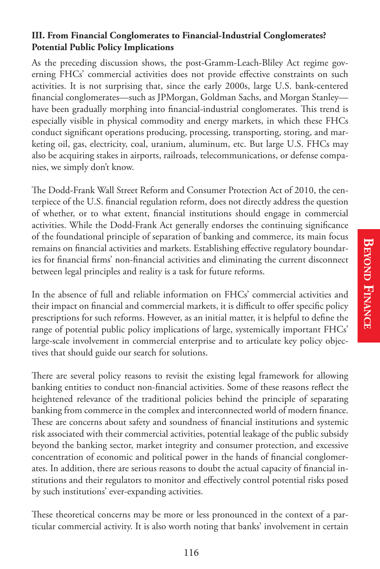#### **III. From Financial Conglomerates to Financial-Industrial Conglomerates? Potential Public Policy Implications**

As the preceding discussion shows, the post-Gramm-Leach-Bliley Act regime governing FHCs' commercial activities does not provide effective constraints on such activities. It is not surprising that, since the early 2000s, large U.S. bank-centered financial conglomerates—such as JPMorgan, Goldman Sachs, and Morgan Stanley have been gradually morphing into financial-industrial conglomerates. This trend is especially visible in physical commodity and energy markets, in which these FHCs conduct significant operations producing, processing, transporting, storing, and marketing oil, gas, electricity, coal, uranium, aluminum, etc. But large U.S. FHCs may also be acquiring stakes in airports, railroads, telecommunications, or defense companies, we simply don't know.

The Dodd-Frank Wall Street Reform and Consumer Protection Act of 2010, the centerpiece of the U.S. financial regulation reform, does not directly address the question of whether, or to what extent, financial institutions should engage in commercial activities. While the Dodd-Frank Act generally endorses the continuing significance of the foundational principle of separation of banking and commerce, its main focus remains on financial activities and markets. Establishing effective regulatory boundaries for financial firms' non-financial activities and eliminating the current disconnect between legal principles and reality is a task for future reforms.

In the absence of full and reliable information on FHCs' commercial activities and their impact on financial and commercial markets, it is difficult to offer specific policy prescriptions for such reforms. However, as an initial matter, it is helpful to define the range of potential public policy implications of large, systemically important FHCs' large-scale involvement in commercial enterprise and to articulate key policy objectives that should guide our search for solutions.

There are several policy reasons to revisit the existing legal framework for allowing banking entities to conduct non-financial activities. Some of these reasons reflect the heightened relevance of the traditional policies behind the principle of separating banking from commerce in the complex and interconnected world of modern finance. These are concerns about safety and soundness of financial institutions and systemic risk associated with their commercial activities, potential leakage of the public subsidy beyond the banking sector, market integrity and consumer protection, and excessive concentration of economic and political power in the hands of financial conglomerates. In addition, there are serious reasons to doubt the actual capacity of financial institutions and their regulators to monitor and effectively control potential risks posed by such institutions' ever-expanding activities.

These theoretical concerns may be more or less pronounced in the context of a particular commercial activity. It is also worth noting that banks' involvement in certain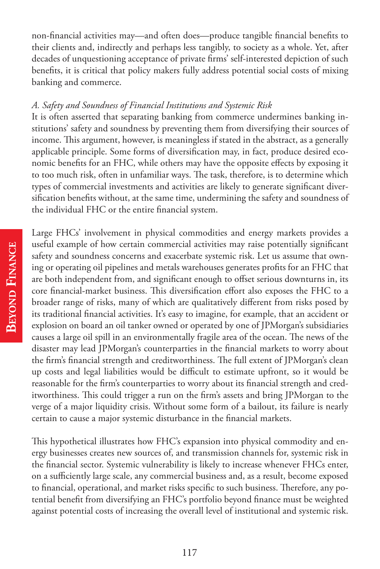non-financial activities may—and often does—produce tangible financial benefits to their clients and, indirectly and perhaps less tangibly, to society as a whole. Yet, after decades of unquestioning acceptance of private firms' self-interested depiction of such benefits, it is critical that policy makers fully address potential social costs of mixing banking and commerce.

#### *A. Safety and Soundness of Financial Institutions and Systemic Risk*

It is often asserted that separating banking from commerce undermines banking institutions' safety and soundness by preventing them from diversifying their sources of income. This argument, however, is meaningless if stated in the abstract, as a generally applicable principle. Some forms of diversification may, in fact, produce desired economic benefits for an FHC, while others may have the opposite effects by exposing it to too much risk, often in unfamiliar ways. The task, therefore, is to determine which types of commercial investments and activities are likely to generate significant diversification benefits without, at the same time, undermining the safety and soundness of the individual FHC or the entire financial system.

Large FHCs' involvement in physical commodities and energy markets provides a useful example of how certain commercial activities may raise potentially significant safety and soundness concerns and exacerbate systemic risk. Let us assume that owning or operating oil pipelines and metals warehouses generates profits for an FHC that are both independent from, and significant enough to offset serious downturns in, its core financial-market business. This diversification effort also exposes the FHC to a broader range of risks, many of which are qualitatively different from risks posed by its traditional financial activities. It's easy to imagine, for example, that an accident or explosion on board an oil tanker owned or operated by one of JPMorgan's subsidiaries causes a large oil spill in an environmentally fragile area of the ocean. The news of the disaster may lead JPMorgan's counterparties in the financial markets to worry about the firm's financial strength and creditworthiness. The full extent of JPMorgan's clean up costs and legal liabilities would be difficult to estimate upfront, so it would be reasonable for the firm's counterparties to worry about its financial strength and creditworthiness. This could trigger a run on the firm's assets and bring JPMorgan to the verge of a major liquidity crisis. Without some form of a bailout, its failure is nearly certain to cause a major systemic disturbance in the financial markets.

This hypothetical illustrates how FHC's expansion into physical commodity and energy businesses creates new sources of, and transmission channels for, systemic risk in the financial sector. Systemic vulnerability is likely to increase whenever FHCs enter, on a sufficiently large scale, any commercial business and, as a result, become exposed to financial, operational, and market risks specific to such business. Therefore, any potential benefit from diversifying an FHC's portfolio beyond finance must be weighted against potential costs of increasing the overall level of institutional and systemic risk.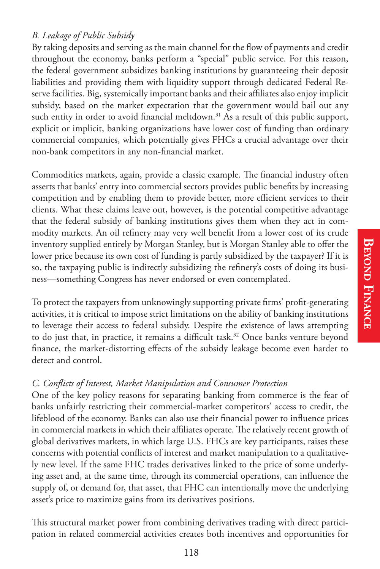By taking deposits and serving as the main channel for the flow of payments and credit throughout the economy, banks perform a "special" public service. For this reason, the federal government subsidizes banking institutions by guaranteeing their deposit liabilities and providing them with liquidity support through dedicated Federal Reserve facilities. Big, systemically important banks and their affiliates also enjoy implicit subsidy, based on the market expectation that the government would bail out any such entity in order to avoid financial meltdown.<sup>31</sup> As a result of this public support, explicit or implicit, banking organizations have lower cost of funding than ordinary commercial companies, which potentially gives FHCs a crucial advantage over their non-bank competitors in any non-financial market.

Commodities markets, again, provide a classic example. The financial industry often asserts that banks' entry into commercial sectors provides public benefits by increasing competition and by enabling them to provide better, more efficient services to their clients. What these claims leave out, however, is the potential competitive advantage that the federal subsidy of banking institutions gives them when they act in commodity markets. An oil refinery may very well benefit from a lower cost of its crude inventory supplied entirely by Morgan Stanley, but is Morgan Stanley able to offer the lower price because its own cost of funding is partly subsidized by the taxpayer? If it is so, the taxpaying public is indirectly subsidizing the refinery's costs of doing its business—something Congress has never endorsed or even contemplated.

To protect the taxpayers from unknowingly supporting private firms' profit-generating activities, it is critical to impose strict limitations on the ability of banking institutions to leverage their access to federal subsidy. Despite the existence of laws attempting to do just that, in practice, it remains a difficult task.<sup>32</sup> Once banks venture beyond finance, the market-distorting effects of the subsidy leakage become even harder to detect and control.

#### *C. Con!icts of Interest, Market Manipulation and Consumer Protection*

One of the key policy reasons for separating banking from commerce is the fear of banks unfairly restricting their commercial-market competitors' access to credit, the lifeblood of the economy. Banks can also use their financial power to influence prices in commercial markets in which their affiliates operate. The relatively recent growth of global derivatives markets, in which large U.S. FHCs are key participants, raises these concerns with potential conflicts of interest and market manipulation to a qualitatively new level. If the same FHC trades derivatives linked to the price of some underlying asset and, at the same time, through its commercial operations, can influence the supply of, or demand for, that asset, that FHC can intentionally move the underlying asset's price to maximize gains from its derivatives positions.

This structural market power from combining derivatives trading with direct participation in related commercial activities creates both incentives and opportunities for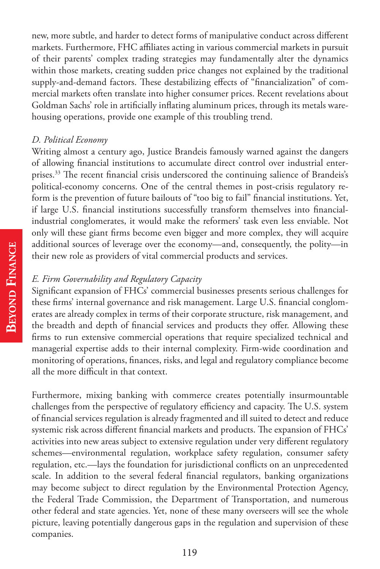new, more subtle, and harder to detect forms of manipulative conduct across different markets. Furthermore, FHC affiliates acting in various commercial markets in pursuit of their parents' complex trading strategies may fundamentally alter the dynamics within those markets, creating sudden price changes not explained by the traditional supply-and-demand factors. These destabilizing effects of "financialization" of commercial markets often translate into higher consumer prices. Recent revelations about Goldman Sachs' role in artificially inflating aluminum prices, through its metals warehousing operations, provide one example of this troubling trend.

#### *D. Political Economy*

Writing almost a century ago, Justice Brandeis famously warned against the dangers of allowing financial institutions to accumulate direct control over industrial enterprises.<sup>33</sup> The recent financial crisis underscored the continuing salience of Brandeis's political-economy concerns. One of the central themes in post-crisis regulatory reform is the prevention of future bailouts of "too big to fail" financial institutions. Yet, if large U.S. financial institutions successfully transform themselves into financialindustrial conglomerates, it would make the reformers' task even less enviable. Not only will these giant firms become even bigger and more complex, they will acquire additional sources of leverage over the economy—and, consequently, the polity—in their new role as providers of vital commercial products and services.

#### *E. Firm Governability and Regulatory Capacity*

Significant expansion of FHCs' commercial businesses presents serious challenges for these firms' internal governance and risk management. Large U.S. financial conglomerates are already complex in terms of their corporate structure, risk management, and the breadth and depth of financial services and products they offer. Allowing these firms to run extensive commercial operations that require specialized technical and managerial expertise adds to their internal complexity. Firm-wide coordination and monitoring of operations, finances, risks, and legal and regulatory compliance become all the more difficult in that context.

Furthermore, mixing banking with commerce creates potentially insurmountable challenges from the perspective of regulatory efficiency and capacity. The U.S. system of financial services regulation is already fragmented and ill suited to detect and reduce systemic risk across different financial markets and products. The expansion of FHCs' activities into new areas subject to extensive regulation under very different regulatory schemes—environmental regulation, workplace safety regulation, consumer safety regulation, etc.—lays the foundation for jurisdictional conflicts on an unprecedented scale. In addition to the several federal financial regulators, banking organizations may become subject to direct regulation by the Environmental Protection Agency, the Federal Trade Commission, the Department of Transportation, and numerous other federal and state agencies. Yet, none of these many overseers will see the whole picture, leaving potentially dangerous gaps in the regulation and supervision of these companies.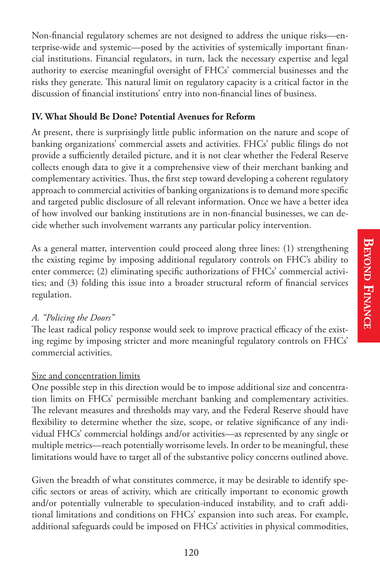Non-financial regulatory schemes are not designed to address the unique risks—enterprise-wide and systemic—posed by the activities of systemically important financial institutions. Financial regulators, in turn, lack the necessary expertise and legal authority to exercise meaningful oversight of FHCs' commercial businesses and the risks they generate. This natural limit on regulatory capacity is a critical factor in the discussion of financial institutions' entry into non-financial lines of business.

#### **IV. What Should Be Done? Potential Avenues for Reform**

At present, there is surprisingly little public information on the nature and scope of banking organizations' commercial assets and activities. FHCs' public filings do not provide a sufficiently detailed picture, and it is not clear whether the Federal Reserve collects enough data to give it a comprehensive view of their merchant banking and complementary activities. Thus, the first step toward developing a coherent regulatory approach to commercial activities of banking organizations is to demand more specific and targeted public disclosure of all relevant information. Once we have a better idea of how involved our banking institutions are in non-financial businesses, we can decide whether such involvement warrants any particular policy intervention.

As a general matter, intervention could proceed along three lines: (1) strengthening the existing regime by imposing additional regulatory controls on FHC's ability to enter commerce;  $(2)$  eliminating specific authorizations of FHCs' commercial activities; and (3) folding this issue into a broader structural reform of financial services regulation.

### *A. "Policing the Doors"*

The least radical policy response would seek to improve practical efficacy of the existing regime by imposing stricter and more meaningful regulatory controls on FHCs' commercial activities.

### Size and concentration limits

One possible step in this direction would be to impose additional size and concentration limits on FHCs' permissible merchant banking and complementary activities. The relevant measures and thresholds may vary, and the Federal Reserve should have flexibility to determine whether the size, scope, or relative significance of any individual FHCs' commercial holdings and/or activities—as represented by any single or multiple metrics—reach potentially worrisome levels. In order to be meaningful, these limitations would have to target all of the substantive policy concerns outlined above.

Given the breadth of what constitutes commerce, it may be desirable to identify specific sectors or areas of activity, which are critically important to economic growth and/or potentially vulnerable to speculation-induced instability, and to craft additional limitations and conditions on FHCs' expansion into such areas. For example, additional safeguards could be imposed on FHCs' activities in physical commodities,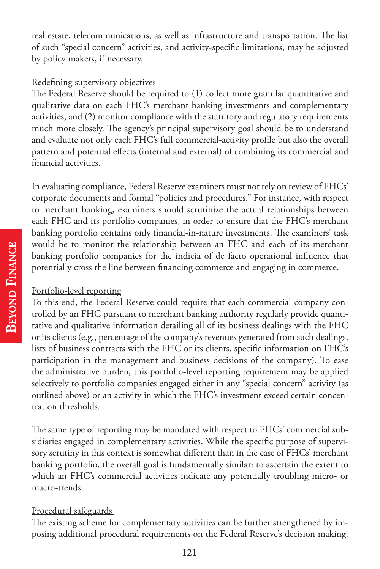real estate, telecommunications, as well as infrastructure and transportation. The list of such "special concern" activities, and activity-specific limitations, may be adjusted by policy makers, if necessary.

#### Redefining supervisory objectives

The Federal Reserve should be required to (1) collect more granular quantitative and qualitative data on each FHC's merchant banking investments and complementary activities, and (2) monitor compliance with the statutory and regulatory requirements much more closely. The agency's principal supervisory goal should be to understand and evaluate not only each FHC's full commercial-activity profile but also the overall pattern and potential effects (internal and external) of combining its commercial and financial activities.

In evaluating compliance, Federal Reserve examiners must not rely on review of FHCs' corporate documents and formal "policies and procedures." For instance, with respect to merchant banking, examiners should scrutinize the actual relationships between each FHC and its portfolio companies, in order to ensure that the FHC's merchant banking portfolio contains only financial-in-nature investments. The examiners' task would be to monitor the relationship between an FHC and each of its merchant banking portfolio companies for the indicia of de facto operational influence that potentially cross the line between financing commerce and engaging in commerce.

### Portfolio-level reporting

To this end, the Federal Reserve could require that each commercial company controlled by an FHC pursuant to merchant banking authority regularly provide quantitative and qualitative information detailing all of its business dealings with the FHC or its clients (e.g., percentage of the company's revenues generated from such dealings, lists of business contracts with the FHC or its clients, specific information on FHC's participation in the management and business decisions of the company). To ease the administrative burden, this portfolio-level reporting requirement may be applied selectively to portfolio companies engaged either in any "special concern" activity (as outlined above) or an activity in which the FHC's investment exceed certain concentration thresholds.

The same type of reporting may be mandated with respect to FHCs' commercial subsidiaries engaged in complementary activities. While the specific purpose of supervisory scrutiny in this context is somewhat different than in the case of FHCs' merchant banking portfolio, the overall goal is fundamentally similar: to ascertain the extent to which an FHC's commercial activities indicate any potentially troubling micro- or macro-trends.

# Procedural safeguards

The existing scheme for complementary activities can be further strengthened by imposing additional procedural requirements on the Federal Reserve's decision making.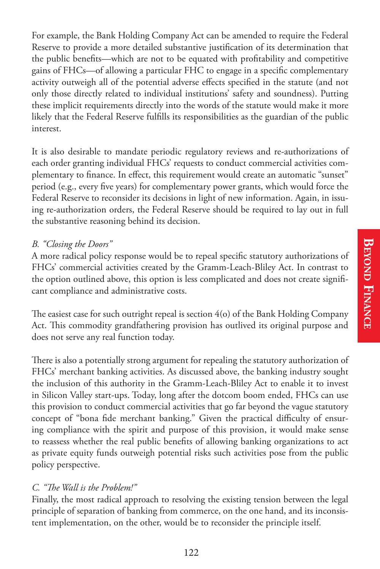For example, the Bank Holding Company Act can be amended to require the Federal Reserve to provide a more detailed substantive justification of its determination that the public benefits—which are not to be equated with profitability and competitive gains of FHCs—of allowing a particular FHC to engage in a specific complementary activity outweigh all of the potential adverse effects specified in the statute (and not only those directly related to individual institutions' safety and soundness). Putting these implicit requirements directly into the words of the statute would make it more likely that the Federal Reserve fulfills its responsibilities as the guardian of the public interest.

It is also desirable to mandate periodic regulatory reviews and re-authorizations of each order granting individual FHCs' requests to conduct commercial activities complementary to finance. In effect, this requirement would create an automatic "sunset" period (e.g., every five years) for complementary power grants, which would force the Federal Reserve to reconsider its decisions in light of new information. Again, in issuing re-authorization orders, the Federal Reserve should be required to lay out in full the substantive reasoning behind its decision.

# *B. "Closing the Doors"*

A more radical policy response would be to repeal specific statutory authorizations of FHCs' commercial activities created by the Gramm-Leach-Bliley Act. In contrast to the option outlined above, this option is less complicated and does not create significant compliance and administrative costs.

The easiest case for such outright repeal is section  $4\text{(o)}$  of the Bank Holding Company Act. This commodity grandfathering provision has outlived its original purpose and does not serve any real function today.

There is also a potentially strong argument for repealing the statutory authorization of FHCs' merchant banking activities. As discussed above, the banking industry sought the inclusion of this authority in the Gramm-Leach-Bliley Act to enable it to invest in Silicon Valley start-ups. Today, long after the dotcom boom ended, FHCs can use this provision to conduct commercial activities that go far beyond the vague statutory concept of "bona fide merchant banking." Given the practical difficulty of ensuring compliance with the spirit and purpose of this provision, it would make sense to reassess whether the real public benefits of allowing banking organizations to act as private equity funds outweigh potential risks such activities pose from the public policy perspective.

### *C. ""e Wall is the Problem!"*

Finally, the most radical approach to resolving the existing tension between the legal principle of separation of banking from commerce, on the one hand, and its inconsistent implementation, on the other, would be to reconsider the principle itself.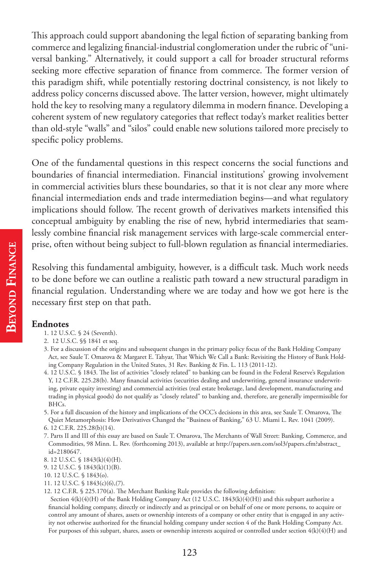This approach could support abandoning the legal fiction of separating banking from commerce and legalizing financial-industrial conglomeration under the rubric of "universal banking." Alternatively, it could support a call for broader structural reforms seeking more effective separation of finance from commerce. The former version of this paradigm shift, while potentially restoring doctrinal consistency, is not likely to address policy concerns discussed above. The latter version, however, might ultimately hold the key to resolving many a regulatory dilemma in modern finance. Developing a coherent system of new regulatory categories that reflect today's market realities better than old-style "walls" and "silos" could enable new solutions tailored more precisely to specific policy problems.

One of the fundamental questions in this respect concerns the social functions and boundaries of financial intermediation. Financial institutions' growing involvement in commercial activities blurs these boundaries, so that it is not clear any more where financial intermediation ends and trade intermediation begins—and what regulatory implications should follow. The recent growth of derivatives markets intensified this conceptual ambiguity by enabling the rise of new, hybrid intermediaries that seamlessly combine financial risk management services with large-scale commercial enterprise, often without being subject to full-blown regulation as financial intermediaries.

Resolving this fundamental ambiguity, however, is a difficult task. Much work needs to be done before we can outline a realistic path toward a new structural paradigm in financial regulation. Understanding where we are today and how we got here is the necessary first step on that path.

#### **Endnotes**

- 1. 12 U.S.C. § 24 (Seventh).
- 2. 12 U.S.C. §§ 1841 et seq.
- 3. For a discussion of the origins and subsequent changes in the primary policy focus of the Bank Holding Company Act, see Saule T. Omarova & Margaret E. Tahyar, That Which We Call a Bank: Revisiting the History of Bank Holding Company Regulation in the United States, 31 Rev. Banking & Fin. L. 113 (2011-12).
- 4. 12 U.S.C. § 1843. The list of activities "closely related" to banking can be found in the Federal Reserve's Regulation Y, 12 C.F.R. 225.28(b). Many financial activities (securities dealing and underwriting, general insurance underwriting, private equity investing) and commercial activities (real estate brokerage, land development, manufacturing and trading in physical goods) do not qualify as "closely related" to banking and, therefore, are generally impermissible for BHCs.
- 5. For a full discussion of the history and implications of the OCC's decisions in this area, see Saule T. Omarova, The Quiet Metamorphosis: How Derivatives Changed the "Business of Banking," 63 U. Miami L. Rev. 1041 (2009).
- 6. 12 C.F.R. 225.28(b)(14).
- 7. Parts II and III of this essay are based on Saule T. Omarova, The Merchants of Wall Street: Banking, Commerce, and Commodities, 98 Minn. L. Rev. (forthcoming 2013), available at http://papers.ssrn.com/sol3/papers.cfm?abstract\_ id=2180647.
- 8. 12 U.S.C. § 1843(k)(4)(H).
- 9. 12 U.S.C. § 1843(k)(1)(B).
- 10. 12 U.S.C. § 1843(o).
- 11. 12 U.S.C. § 1843(c)(6),(7).
- 12. 12 C.F.R.  $\S$  225.170(a). The Merchant Banking Rule provides the following definition:
- Section 4(k)(4)(H) of the Bank Holding Company Act (12 U.S.C. 1843(k)(4)(H)) and this subpart authorize a financial holding company, directly or indirectly and as principal or on behalf of one or more persons, to acquire or control any amount of shares, assets or ownership interests of a company or other entity that is engaged in any activity not otherwise authorized for the financial holding company under section 4 of the Bank Holding Company Act. For purposes of this subpart, shares, assets or ownership interests acquired or controlled under section  $4(k)(4)(H)$  and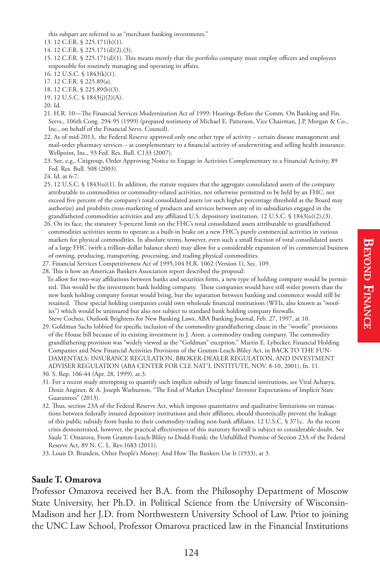this subpart are referred to as "merchant banking investments."

- 13. 12 C.F.R. § 225.171(b)(1).
- 14. 12 C.F.R. § 225.171(d)(2),(3).
- 15. 12 C.F.R.  $\S 225.171(d)(1)$ . This means merely that the portfolio company must employ officers and employees responsible for routinely managing and operating its affairs.
- 16. 12 U.S.C. § 1843(k)(1).
- 17. 12 C.F.R. § 225.89(a).
- 18. 12 C.F.R. § 225.89(b)(3).
- 19. 12 U.S.C. § 1843(j)(2)(A).

- 21. H.R. 10-The Financial Services Modernization Act of 1999: Hearings Before the Comm. On Banking and Fin. Servs., 106th Cong. 294-95 (1999) (prepared testimony of Michael E. Patterson, Vice Chairman, J.P. Morgan & Co., Inc., on behalf of the Financial Servs. Council).
- 22. As of mid-2013, the Federal Reserve approved only one other type of activity certain disease management and mail-order pharmacy services – as complementary to a financial activity of underwriting and selling health insurance. Wellpoint, Inc., 93 Fed. Res. Bull. C133 (2007).
- 23. See, e.g., Citigroup, Order Approving Notice to Engage in Activities Complementary to a Financial Activity, 89 Fed. Res. Bull. 508 (2003).

- 25. 12 U.S.C. § 1843(o)(1). In addition, the statute requires that the aggregate consolidated assets of the company attributable to commodities or commodity-related activities, not otherwise permitted to be held by an FHC, not exceed five percent of the company's total consolidated assets (or such higher percentage threshold as the Board may authorize) and prohibits cross-marketing of products and services between any of its subsidiaries engaged in the grandfathered commodities activities and any affiliated U.S. depository institution. 12 U.S.C. § 1843(o)(2),(3).
- 26. On its face, the statutory 5-percent limit on the FHC's total consolidated assets attributable to grandfathered commodities activities seems to operate as a built-in brake on a new FHC's purely commercial activities in various markets for physical commodities. In absolute terms, however, even such a small fraction of total consolidated assets of a large FHC (with a trillion-dollar balance sheet) may allow for a considerable expansion of its commercial business of owning, producing, transporting, processing, and trading physical commodities.
- 27. Financial Services Competitiveness Act of 1995,104 H.R. 1062 (Version 1), Sec. 109.
- 28. This is how an American Bankers Association report described the proposal:
- To allow for two-way affiliations between banks and securities firms, a new type of holding company would be permitted. This would be the investment bank holding company. These companies would have still wider powers than the new bank holding company format would bring, but the separation between banking and commerce would still be retained. These special holding companies could own wholesale financial institutions (WFIs, also known as "woofies") which would be uninsured but also not subject to standard bank holding company firewalls. Steve Cocheo, Outlook Brightens for New Banking Laws, ABA Banking Journal, Feb. 27, 1997, at 10.
- 29. Goldman Sachs lobbied for specific inclusion of the commodity grandfathering clause in the "woofie" provisions of the House bill because of its existing investment in J. Aron, a commodity trading company. The commodity grandfathering provision was "widely viewed as the "Goldman" exception." Martin E. Lybecker, Financial Holding Companies and New Financial Activities Provisions of the Gramm-Leach-Bliley Act, in BACK TO THE FUN-DAMENTALS: INSURANCE REGULATION, BROKER-DEALER REGULATION, AND INVESTMENT ADVISER REGULATION (ABA CENTER FOR CLE NAT'L INSTITUTE, NOV. 8-10, 2001), fn. 11. 30. S. Rep. 106-44 (Apr. 28, 1999), at.3.
- 31. For a recent study attempting to quantify such implicit subsidy of large financial institutions, see Viral Acharya, Deniz Anginer, & A. Joseph Warburton, "The End of Market Discipline? Investor Expectations of Implicit State Guarantees" (2013).
- 32. Thus, section 23A of the Federal Reserve Act, which imposes quantitative and qualitative limitations on transactions between federally insured depository institutions and their affiliates, should theoretically prevent the leakage of this public subsidy from banks to their commodity-trading non-bank affiliates. 12 U.S.C. § 371c. As the recent crisis demonstrated, however, the practical effectiveness of this statutory firewall is subject to considerable doubt. See Saule T. Omarova, From Gramm-Leach-Bliley to Dodd-Frank: the Unful\*lled Promise of Section 23A of the Federal Reserve Act, 89 N. C. L. Rev.1683 (2011).
- 33. Louis D. Brandeis, Other People's Money: And How The Bankers Use It (1933), at 3.

#### **Saule T. Omarova**

Professor Omarova received her B.A. from the Philosophy Department of Moscow State University, her Ph.D. in Political Science from the University of Wisconsin-Madison and her J.D. from Northwestern University School of Law. Prior to joining the UNC Law School, Professor Omarova practiced law in the Financial Institutions

 <sup>20.</sup> Id.

 <sup>24.</sup> Id. at 6-7.